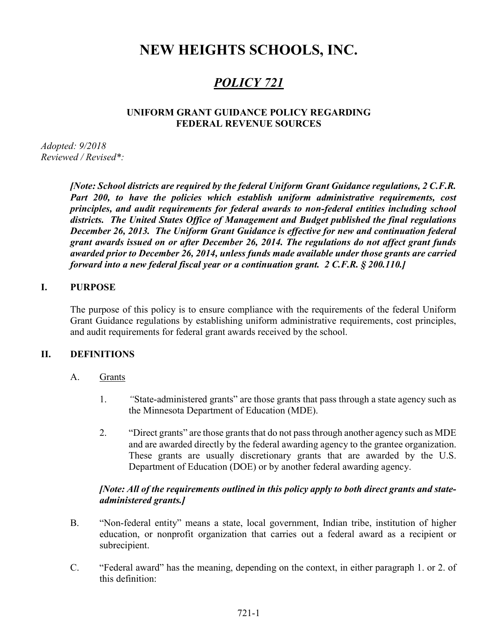# NEW HEIGHTS SCHOOLS, INC.

# POLICY 721

## UNIFORM GRANT GUIDANCE POLICY REGARDING FEDERAL REVENUE SOURCES

Adopted: 9/2018 Reviewed / Revised\*:

> [Note: School districts are required by the federal Uniform Grant Guidance regulations, 2 C.F.R. Part 200, to have the policies which establish uniform administrative requirements, cost principles, and audit requirements for federal awards to non-federal entities including school districts. The United States Office of Management and Budget published the final regulations December 26, 2013. The Uniform Grant Guidance is effective for new and continuation federal grant awards issued on or after December 26, 2014. The regulations do not affect grant funds awarded prior to December 26, 2014, unless funds made available under those grants are carried forward into a new federal fiscal year or a continuation grant. 2 C.F.R. § 200.110.]

## I. PURPOSE

The purpose of this policy is to ensure compliance with the requirements of the federal Uniform Grant Guidance regulations by establishing uniform administrative requirements, cost principles, and audit requirements for federal grant awards received by the school.

## II. DEFINITIONS

- A. Grants
	- 1. "State-administered grants" are those grants that pass through a state agency such as the Minnesota Department of Education (MDE).
	- 2. "Direct grants" are those grants that do not pass through another agency such as MDE and are awarded directly by the federal awarding agency to the grantee organization. These grants are usually discretionary grants that are awarded by the U.S. Department of Education (DOE) or by another federal awarding agency.

# [Note: All of the requirements outlined in this policy apply to both direct grants and stateadministered grants.]

- B. "Non-federal entity" means a state, local government, Indian tribe, institution of higher education, or nonprofit organization that carries out a federal award as a recipient or subrecipient.
- C. "Federal award" has the meaning, depending on the context, in either paragraph 1. or 2. of this definition: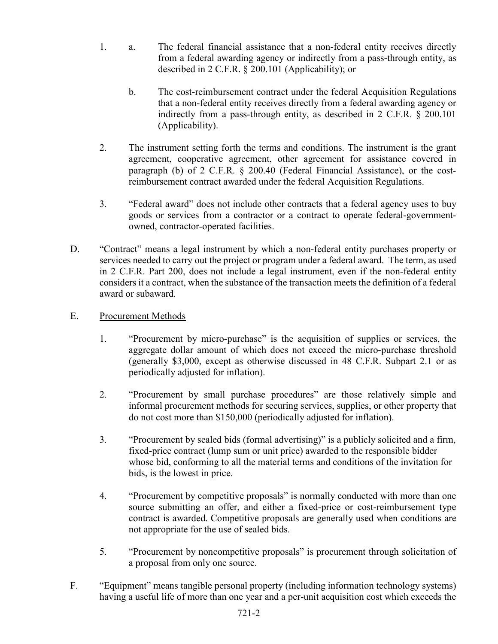- 1. a. The federal financial assistance that a non-federal entity receives directly from a federal awarding agency or indirectly from a pass-through entity, as described in 2 C.F.R. § 200.101 (Applicability); or
	- b. The cost-reimbursement contract under the federal Acquisition Regulations that a non-federal entity receives directly from a federal awarding agency or indirectly from a pass-through entity, as described in 2 C.F.R. § 200.101 (Applicability).
- 2. The instrument setting forth the terms and conditions. The instrument is the grant agreement, cooperative agreement, other agreement for assistance covered in paragraph (b) of 2 C.F.R. § 200.40 (Federal Financial Assistance), or the costreimbursement contract awarded under the federal Acquisition Regulations.
- 3. "Federal award" does not include other contracts that a federal agency uses to buy goods or services from a contractor or a contract to operate federal-governmentowned, contractor-operated facilities.
- D. "Contract" means a legal instrument by which a non-federal entity purchases property or services needed to carry out the project or program under a federal award. The term, as used in 2 C.F.R. Part 200, does not include a legal instrument, even if the non-federal entity considers it a contract, when the substance of the transaction meets the definition of a federal award or subaward.
- E. Procurement Methods
	- 1. "Procurement by micro-purchase" is the acquisition of supplies or services, the aggregate dollar amount of which does not exceed the micro-purchase threshold (generally \$3,000, except as otherwise discussed in 48 C.F.R. Subpart 2.1 or as periodically adjusted for inflation).
	- 2. "Procurement by small purchase procedures" are those relatively simple and informal procurement methods for securing services, supplies, or other property that do not cost more than \$150,000 (periodically adjusted for inflation).
	- 3. "Procurement by sealed bids (formal advertising)" is a publicly solicited and a firm, fixed-price contract (lump sum or unit price) awarded to the responsible bidder whose bid, conforming to all the material terms and conditions of the invitation for bids, is the lowest in price.
	- 4. "Procurement by competitive proposals" is normally conducted with more than one source submitting an offer, and either a fixed-price or cost-reimbursement type contract is awarded. Competitive proposals are generally used when conditions are not appropriate for the use of sealed bids.
	- 5. "Procurement by noncompetitive proposals" is procurement through solicitation of a proposal from only one source.
- F. "Equipment" means tangible personal property (including information technology systems) having a useful life of more than one year and a per-unit acquisition cost which exceeds the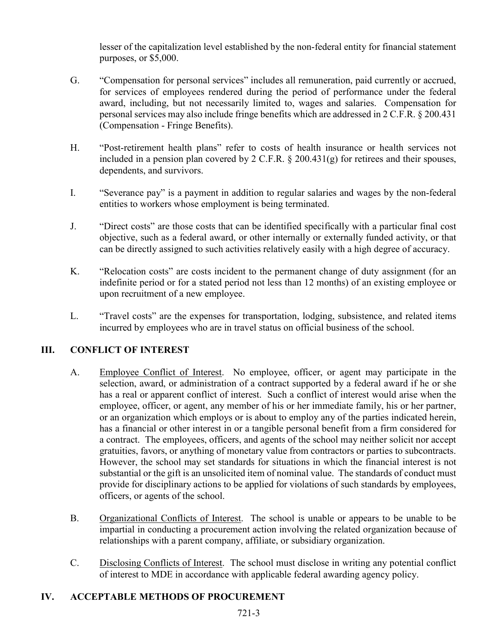lesser of the capitalization level established by the non-federal entity for financial statement purposes, or \$5,000.

- G. "Compensation for personal services" includes all remuneration, paid currently or accrued, for services of employees rendered during the period of performance under the federal award, including, but not necessarily limited to, wages and salaries. Compensation for personal services may also include fringe benefits which are addressed in 2 C.F.R. § 200.431 (Compensation - Fringe Benefits).
- H. "Post-retirement health plans" refer to costs of health insurance or health services not included in a pension plan covered by 2 C.F.R.  $\S$  200.431(g) for retirees and their spouses, dependents, and survivors.
- I. "Severance pay" is a payment in addition to regular salaries and wages by the non-federal entities to workers whose employment is being terminated.
- J. "Direct costs" are those costs that can be identified specifically with a particular final cost objective, such as a federal award, or other internally or externally funded activity, or that can be directly assigned to such activities relatively easily with a high degree of accuracy.
- K. "Relocation costs" are costs incident to the permanent change of duty assignment (for an indefinite period or for a stated period not less than 12 months) of an existing employee or upon recruitment of a new employee.
- L. "Travel costs" are the expenses for transportation, lodging, subsistence, and related items incurred by employees who are in travel status on official business of the school.

# III. CONFLICT OF INTEREST

- A. Employee Conflict of Interest. No employee, officer, or agent may participate in the selection, award, or administration of a contract supported by a federal award if he or she has a real or apparent conflict of interest. Such a conflict of interest would arise when the employee, officer, or agent, any member of his or her immediate family, his or her partner, or an organization which employs or is about to employ any of the parties indicated herein, has a financial or other interest in or a tangible personal benefit from a firm considered for a contract. The employees, officers, and agents of the school may neither solicit nor accept gratuities, favors, or anything of monetary value from contractors or parties to subcontracts. However, the school may set standards for situations in which the financial interest is not substantial or the gift is an unsolicited item of nominal value. The standards of conduct must provide for disciplinary actions to be applied for violations of such standards by employees, officers, or agents of the school.
- B. Organizational Conflicts of Interest. The school is unable or appears to be unable to be impartial in conducting a procurement action involving the related organization because of relationships with a parent company, affiliate, or subsidiary organization.
- C. Disclosing Conflicts of Interest. The school must disclose in writing any potential conflict of interest to MDE in accordance with applicable federal awarding agency policy.

# IV. ACCEPTABLE METHODS OF PROCUREMENT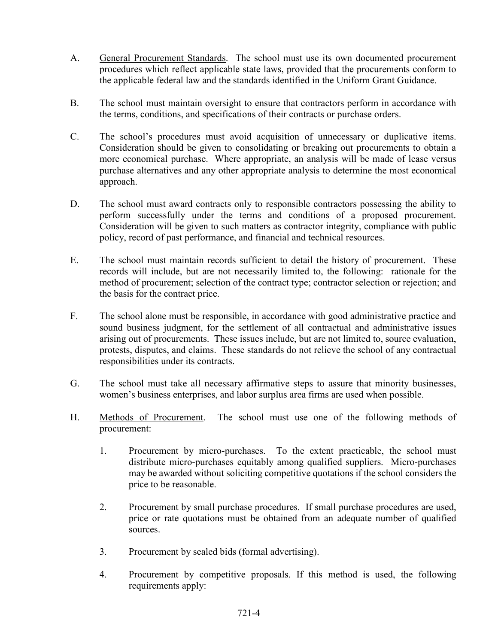- A. General Procurement Standards. The school must use its own documented procurement procedures which reflect applicable state laws, provided that the procurements conform to the applicable federal law and the standards identified in the Uniform Grant Guidance.
- B. The school must maintain oversight to ensure that contractors perform in accordance with the terms, conditions, and specifications of their contracts or purchase orders.
- C. The school's procedures must avoid acquisition of unnecessary or duplicative items. Consideration should be given to consolidating or breaking out procurements to obtain a more economical purchase. Where appropriate, an analysis will be made of lease versus purchase alternatives and any other appropriate analysis to determine the most economical approach.
- D. The school must award contracts only to responsible contractors possessing the ability to perform successfully under the terms and conditions of a proposed procurement. Consideration will be given to such matters as contractor integrity, compliance with public policy, record of past performance, and financial and technical resources.
- E. The school must maintain records sufficient to detail the history of procurement. These records will include, but are not necessarily limited to, the following: rationale for the method of procurement; selection of the contract type; contractor selection or rejection; and the basis for the contract price.
- F. The school alone must be responsible, in accordance with good administrative practice and sound business judgment, for the settlement of all contractual and administrative issues arising out of procurements. These issues include, but are not limited to, source evaluation, protests, disputes, and claims. These standards do not relieve the school of any contractual responsibilities under its contracts.
- G. The school must take all necessary affirmative steps to assure that minority businesses, women's business enterprises, and labor surplus area firms are used when possible.
- H. Methods of Procurement. The school must use one of the following methods of procurement:
	- 1. Procurement by micro-purchases. To the extent practicable, the school must distribute micro-purchases equitably among qualified suppliers. Micro-purchases may be awarded without soliciting competitive quotations if the school considers the price to be reasonable.
	- 2. Procurement by small purchase procedures. If small purchase procedures are used, price or rate quotations must be obtained from an adequate number of qualified sources.
	- 3. Procurement by sealed bids (formal advertising).
	- 4. Procurement by competitive proposals. If this method is used, the following requirements apply: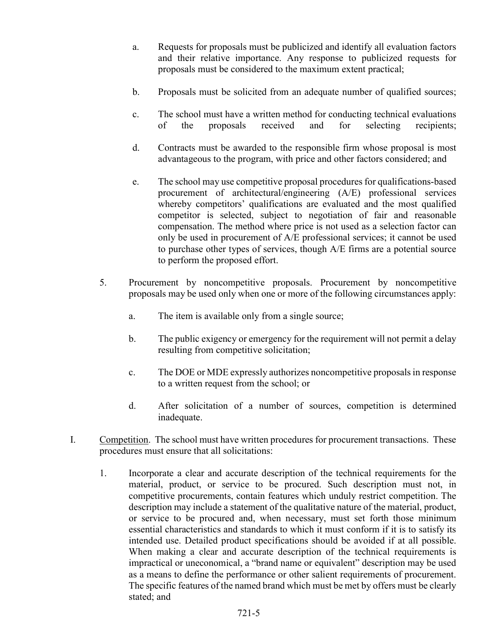- a. Requests for proposals must be publicized and identify all evaluation factors and their relative importance. Any response to publicized requests for proposals must be considered to the maximum extent practical;
- b. Proposals must be solicited from an adequate number of qualified sources;
- c. The school must have a written method for conducting technical evaluations of the proposals received and for selecting recipients;
- d. Contracts must be awarded to the responsible firm whose proposal is most advantageous to the program, with price and other factors considered; and
- e. The school may use competitive proposal procedures for qualifications-based procurement of architectural/engineering (A/E) professional services whereby competitors' qualifications are evaluated and the most qualified competitor is selected, subject to negotiation of fair and reasonable compensation. The method where price is not used as a selection factor can only be used in procurement of A/E professional services; it cannot be used to purchase other types of services, though A/E firms are a potential source to perform the proposed effort.
- 5. Procurement by noncompetitive proposals. Procurement by noncompetitive proposals may be used only when one or more of the following circumstances apply:
	- a. The item is available only from a single source;
	- b. The public exigency or emergency for the requirement will not permit a delay resulting from competitive solicitation;
	- c. The DOE or MDE expressly authorizes noncompetitive proposals in response to a written request from the school; or
	- d. After solicitation of a number of sources, competition is determined inadequate.
- I. Competition. The school must have written procedures for procurement transactions. These procedures must ensure that all solicitations:
	- 1. Incorporate a clear and accurate description of the technical requirements for the material, product, or service to be procured. Such description must not, in competitive procurements, contain features which unduly restrict competition. The description may include a statement of the qualitative nature of the material, product, or service to be procured and, when necessary, must set forth those minimum essential characteristics and standards to which it must conform if it is to satisfy its intended use. Detailed product specifications should be avoided if at all possible. When making a clear and accurate description of the technical requirements is impractical or uneconomical, a "brand name or equivalent" description may be used as a means to define the performance or other salient requirements of procurement. The specific features of the named brand which must be met by offers must be clearly stated; and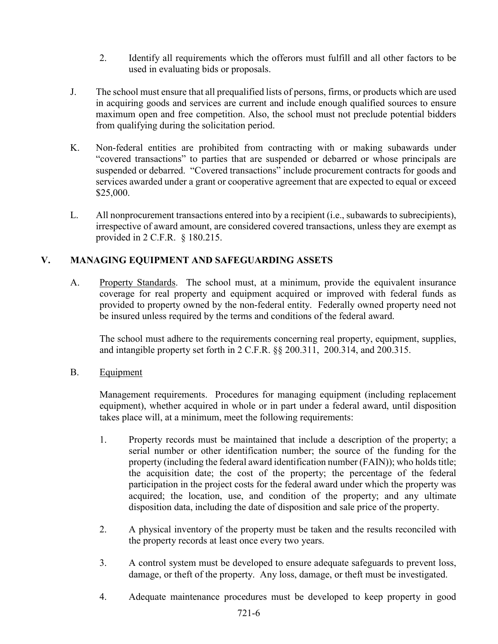- 2. Identify all requirements which the offerors must fulfill and all other factors to be used in evaluating bids or proposals.
- J. The school must ensure that all prequalified lists of persons, firms, or products which are used in acquiring goods and services are current and include enough qualified sources to ensure maximum open and free competition. Also, the school must not preclude potential bidders from qualifying during the solicitation period.
- K. Non-federal entities are prohibited from contracting with or making subawards under "covered transactions" to parties that are suspended or debarred or whose principals are suspended or debarred. "Covered transactions" include procurement contracts for goods and services awarded under a grant or cooperative agreement that are expected to equal or exceed \$25,000.
- L. All nonprocurement transactions entered into by a recipient (i.e., subawards to subrecipients), irrespective of award amount, are considered covered transactions, unless they are exempt as provided in 2 C.F.R. § 180.215.

# V. MANAGING EQUIPMENT AND SAFEGUARDING ASSETS

A. Property Standards. The school must, at a minimum, provide the equivalent insurance coverage for real property and equipment acquired or improved with federal funds as provided to property owned by the non-federal entity. Federally owned property need not be insured unless required by the terms and conditions of the federal award.

The school must adhere to the requirements concerning real property, equipment, supplies, and intangible property set forth in 2 C.F.R. §§ 200.311, 200.314, and 200.315.

B. Equipment

Management requirements. Procedures for managing equipment (including replacement equipment), whether acquired in whole or in part under a federal award, until disposition takes place will, at a minimum, meet the following requirements:

- 1. Property records must be maintained that include a description of the property; a serial number or other identification number; the source of the funding for the property (including the federal award identification number (FAIN)); who holds title; the acquisition date; the cost of the property; the percentage of the federal participation in the project costs for the federal award under which the property was acquired; the location, use, and condition of the property; and any ultimate disposition data, including the date of disposition and sale price of the property.
- 2. A physical inventory of the property must be taken and the results reconciled with the property records at least once every two years.
- 3. A control system must be developed to ensure adequate safeguards to prevent loss, damage, or theft of the property. Any loss, damage, or theft must be investigated.
- 4. Adequate maintenance procedures must be developed to keep property in good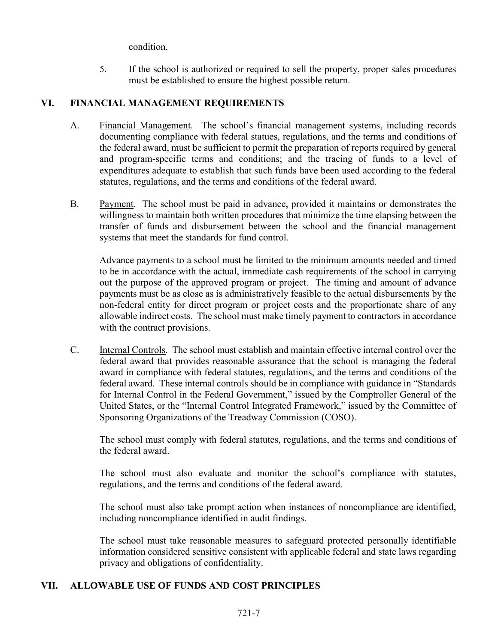condition.

5. If the school is authorized or required to sell the property, proper sales procedures must be established to ensure the highest possible return.

# VI. FINANCIAL MANAGEMENT REQUIREMENTS

- A. Financial Management. The school's financial management systems, including records documenting compliance with federal statues, regulations, and the terms and conditions of the federal award, must be sufficient to permit the preparation of reports required by general and program-specific terms and conditions; and the tracing of funds to a level of expenditures adequate to establish that such funds have been used according to the federal statutes, regulations, and the terms and conditions of the federal award.
- B. Payment. The school must be paid in advance, provided it maintains or demonstrates the willingness to maintain both written procedures that minimize the time elapsing between the transfer of funds and disbursement between the school and the financial management systems that meet the standards for fund control.

Advance payments to a school must be limited to the minimum amounts needed and timed to be in accordance with the actual, immediate cash requirements of the school in carrying out the purpose of the approved program or project. The timing and amount of advance payments must be as close as is administratively feasible to the actual disbursements by the non-federal entity for direct program or project costs and the proportionate share of any allowable indirect costs. The school must make timely payment to contractors in accordance with the contract provisions.

C. Internal Controls. The school must establish and maintain effective internal control over the federal award that provides reasonable assurance that the school is managing the federal award in compliance with federal statutes, regulations, and the terms and conditions of the federal award. These internal controls should be in compliance with guidance in "Standards for Internal Control in the Federal Government," issued by the Comptroller General of the United States, or the "Internal Control Integrated Framework," issued by the Committee of Sponsoring Organizations of the Treadway Commission (COSO).

The school must comply with federal statutes, regulations, and the terms and conditions of the federal award.

The school must also evaluate and monitor the school's compliance with statutes, regulations, and the terms and conditions of the federal award.

The school must also take prompt action when instances of noncompliance are identified, including noncompliance identified in audit findings.

The school must take reasonable measures to safeguard protected personally identifiable information considered sensitive consistent with applicable federal and state laws regarding privacy and obligations of confidentiality.

# VII. ALLOWABLE USE OF FUNDS AND COST PRINCIPLES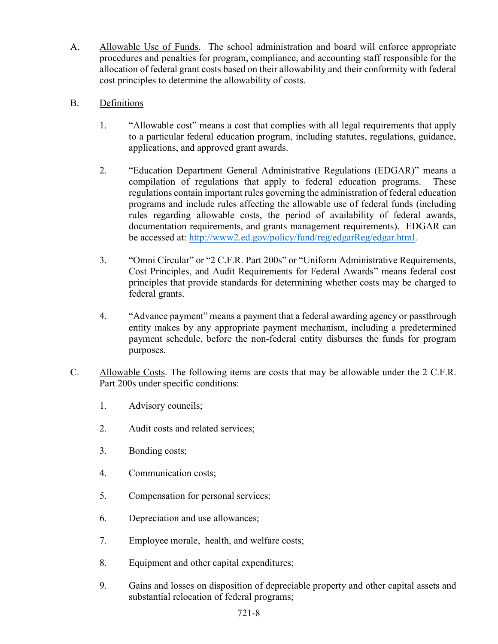- A. Allowable Use of Funds. The school administration and board will enforce appropriate procedures and penalties for program, compliance, and accounting staff responsible for the allocation of federal grant costs based on their allowability and their conformity with federal cost principles to determine the allowability of costs.
- B. Definitions
	- 1. "Allowable cost" means a cost that complies with all legal requirements that apply to a particular federal education program, including statutes, regulations, guidance, applications, and approved grant awards.
	- 2. "Education Department General Administrative Regulations (EDGAR)" means a compilation of regulations that apply to federal education programs. These regulations contain important rules governing the administration of federal education programs and include rules affecting the allowable use of federal funds (including rules regarding allowable costs, the period of availability of federal awards, documentation requirements, and grants management requirements). EDGAR can be accessed at: http://www2.ed.gov/policy/fund/reg/edgarReg/edgar.html.
	- 3. "Omni Circular" or "2 C.F.R. Part 200s" or "Uniform Administrative Requirements, Cost Principles, and Audit Requirements for Federal Awards" means federal cost principles that provide standards for determining whether costs may be charged to federal grants.
	- 4. "Advance payment" means a payment that a federal awarding agency or passthrough entity makes by any appropriate payment mechanism, including a predetermined payment schedule, before the non-federal entity disburses the funds for program purposes.
- C. Allowable Costs. The following items are costs that may be allowable under the 2 C.F.R. Part 200s under specific conditions:
	- 1. Advisory councils;
	- 2. Audit costs and related services;
	- 3. Bonding costs;
	- 4. Communication costs;
	- 5. Compensation for personal services;
	- 6. Depreciation and use allowances;
	- 7. Employee morale, health, and welfare costs;
	- 8. Equipment and other capital expenditures;
	- 9. Gains and losses on disposition of depreciable property and other capital assets and substantial relocation of federal programs;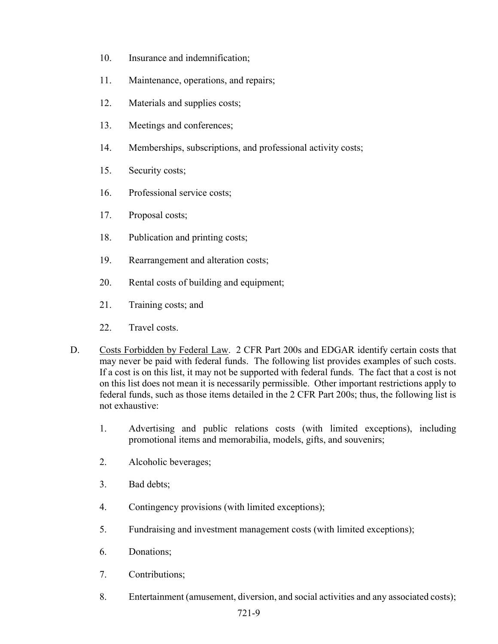- 10. Insurance and indemnification;
- 11. Maintenance, operations, and repairs;
- 12. Materials and supplies costs;
- 13. Meetings and conferences;
- 14. Memberships, subscriptions, and professional activity costs;
- 15. Security costs;
- 16. Professional service costs;
- 17. Proposal costs;
- 18. Publication and printing costs;
- 19. Rearrangement and alteration costs;
- 20. Rental costs of building and equipment;
- 21. Training costs; and
- 22. Travel costs.
- D. Costs Forbidden by Federal Law. 2 CFR Part 200s and EDGAR identify certain costs that may never be paid with federal funds. The following list provides examples of such costs. If a cost is on this list, it may not be supported with federal funds. The fact that a cost is not on this list does not mean it is necessarily permissible. Other important restrictions apply to federal funds, such as those items detailed in the 2 CFR Part 200s; thus, the following list is not exhaustive:
	- 1. Advertising and public relations costs (with limited exceptions), including promotional items and memorabilia, models, gifts, and souvenirs;
	- 2. Alcoholic beverages;
	- 3. Bad debts;
	- 4. Contingency provisions (with limited exceptions);
	- 5. Fundraising and investment management costs (with limited exceptions);
	- 6. Donations;
	- 7. Contributions;
	- 8. Entertainment (amusement, diversion, and social activities and any associated costs);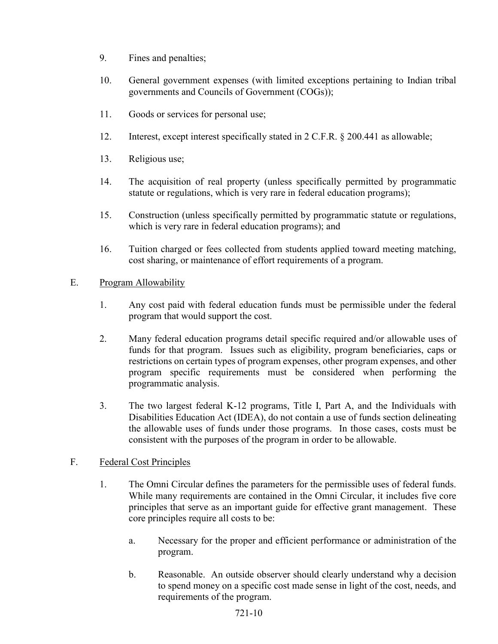- 9. Fines and penalties;
- 10. General government expenses (with limited exceptions pertaining to Indian tribal governments and Councils of Government (COGs));
- 11. Goods or services for personal use;
- 12. Interest, except interest specifically stated in 2 C.F.R. § 200.441 as allowable;
- 13. Religious use;
- 14. The acquisition of real property (unless specifically permitted by programmatic statute or regulations, which is very rare in federal education programs);
- 15. Construction (unless specifically permitted by programmatic statute or regulations, which is very rare in federal education programs); and
- 16. Tuition charged or fees collected from students applied toward meeting matching, cost sharing, or maintenance of effort requirements of a program.

## E. Program Allowability

- 1. Any cost paid with federal education funds must be permissible under the federal program that would support the cost.
- 2. Many federal education programs detail specific required and/or allowable uses of funds for that program. Issues such as eligibility, program beneficiaries, caps or restrictions on certain types of program expenses, other program expenses, and other program specific requirements must be considered when performing the programmatic analysis.
- 3. The two largest federal K-12 programs, Title I, Part A, and the Individuals with Disabilities Education Act (IDEA), do not contain a use of funds section delineating the allowable uses of funds under those programs. In those cases, costs must be consistent with the purposes of the program in order to be allowable.

# F. Federal Cost Principles

- 1. The Omni Circular defines the parameters for the permissible uses of federal funds. While many requirements are contained in the Omni Circular, it includes five core principles that serve as an important guide for effective grant management. These core principles require all costs to be:
	- a. Necessary for the proper and efficient performance or administration of the program.
	- b. Reasonable. An outside observer should clearly understand why a decision to spend money on a specific cost made sense in light of the cost, needs, and requirements of the program.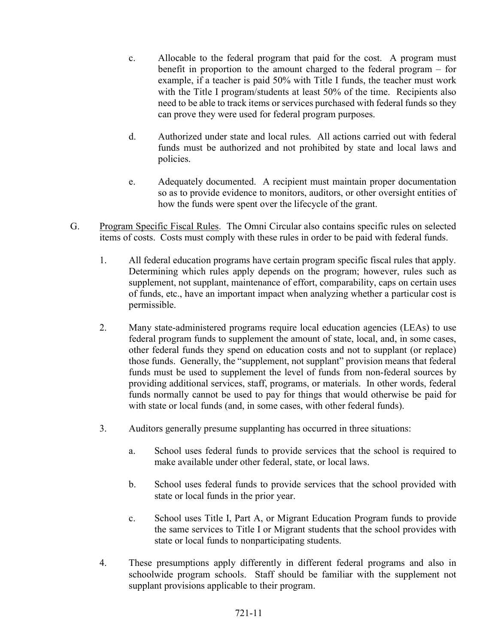- c. Allocable to the federal program that paid for the cost. A program must benefit in proportion to the amount charged to the federal program – for example, if a teacher is paid 50% with Title I funds, the teacher must work with the Title I program/students at least 50% of the time. Recipients also need to be able to track items or services purchased with federal funds so they can prove they were used for federal program purposes.
- d. Authorized under state and local rules. All actions carried out with federal funds must be authorized and not prohibited by state and local laws and policies.
- e. Adequately documented. A recipient must maintain proper documentation so as to provide evidence to monitors, auditors, or other oversight entities of how the funds were spent over the lifecycle of the grant.
- G. Program Specific Fiscal Rules. The Omni Circular also contains specific rules on selected items of costs. Costs must comply with these rules in order to be paid with federal funds.
	- 1. All federal education programs have certain program specific fiscal rules that apply. Determining which rules apply depends on the program; however, rules such as supplement, not supplant, maintenance of effort, comparability, caps on certain uses of funds, etc., have an important impact when analyzing whether a particular cost is permissible.
	- 2. Many state-administered programs require local education agencies (LEAs) to use federal program funds to supplement the amount of state, local, and, in some cases, other federal funds they spend on education costs and not to supplant (or replace) those funds. Generally, the "supplement, not supplant" provision means that federal funds must be used to supplement the level of funds from non-federal sources by providing additional services, staff, programs, or materials. In other words, federal funds normally cannot be used to pay for things that would otherwise be paid for with state or local funds (and, in some cases, with other federal funds).
	- 3. Auditors generally presume supplanting has occurred in three situations:
		- a. School uses federal funds to provide services that the school is required to make available under other federal, state, or local laws.
		- b. School uses federal funds to provide services that the school provided with state or local funds in the prior year.
		- c. School uses Title I, Part A, or Migrant Education Program funds to provide the same services to Title I or Migrant students that the school provides with state or local funds to nonparticipating students.
	- 4. These presumptions apply differently in different federal programs and also in schoolwide program schools. Staff should be familiar with the supplement not supplant provisions applicable to their program.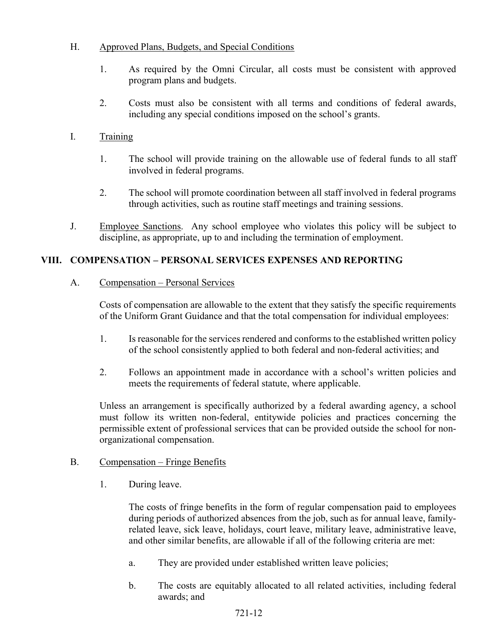# H. Approved Plans, Budgets, and Special Conditions

- 1. As required by the Omni Circular, all costs must be consistent with approved program plans and budgets.
- 2. Costs must also be consistent with all terms and conditions of federal awards, including any special conditions imposed on the school's grants.

# I. Training

- 1. The school will provide training on the allowable use of federal funds to all staff involved in federal programs.
- 2. The school will promote coordination between all staff involved in federal programs through activities, such as routine staff meetings and training sessions.
- J. Employee Sanctions. Any school employee who violates this policy will be subject to discipline, as appropriate, up to and including the termination of employment.

## VIII. COMPENSATION – PERSONAL SERVICES EXPENSES AND REPORTING

## A. Compensation – Personal Services

Costs of compensation are allowable to the extent that they satisfy the specific requirements of the Uniform Grant Guidance and that the total compensation for individual employees:

- 1. Is reasonable for the services rendered and conforms to the established written policy of the school consistently applied to both federal and non-federal activities; and
- 2. Follows an appointment made in accordance with a school's written policies and meets the requirements of federal statute, where applicable.

Unless an arrangement is specifically authorized by a federal awarding agency, a school must follow its written non-federal, entitywide policies and practices concerning the permissible extent of professional services that can be provided outside the school for nonorganizational compensation.

## B. Compensation – Fringe Benefits

1. During leave.

The costs of fringe benefits in the form of regular compensation paid to employees during periods of authorized absences from the job, such as for annual leave, familyrelated leave, sick leave, holidays, court leave, military leave, administrative leave, and other similar benefits, are allowable if all of the following criteria are met:

- a. They are provided under established written leave policies;
- b. The costs are equitably allocated to all related activities, including federal awards; and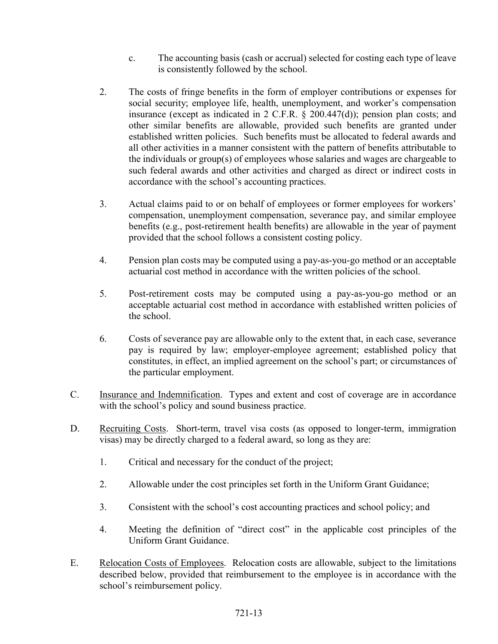- c. The accounting basis (cash or accrual) selected for costing each type of leave is consistently followed by the school.
- 2. The costs of fringe benefits in the form of employer contributions or expenses for social security; employee life, health, unemployment, and worker's compensation insurance (except as indicated in 2 C.F.R. § 200.447(d)); pension plan costs; and other similar benefits are allowable, provided such benefits are granted under established written policies. Such benefits must be allocated to federal awards and all other activities in a manner consistent with the pattern of benefits attributable to the individuals or group(s) of employees whose salaries and wages are chargeable to such federal awards and other activities and charged as direct or indirect costs in accordance with the school's accounting practices.
- 3. Actual claims paid to or on behalf of employees or former employees for workers' compensation, unemployment compensation, severance pay, and similar employee benefits (e.g., post-retirement health benefits) are allowable in the year of payment provided that the school follows a consistent costing policy.
- 4. Pension plan costs may be computed using a pay-as-you-go method or an acceptable actuarial cost method in accordance with the written policies of the school.
- 5. Post-retirement costs may be computed using a pay-as-you-go method or an acceptable actuarial cost method in accordance with established written policies of the school.
- 6. Costs of severance pay are allowable only to the extent that, in each case, severance pay is required by law; employer-employee agreement; established policy that constitutes, in effect, an implied agreement on the school's part; or circumstances of the particular employment.
- C. Insurance and Indemnification. Types and extent and cost of coverage are in accordance with the school's policy and sound business practice.
- D. Recruiting Costs. Short-term, travel visa costs (as opposed to longer-term, immigration visas) may be directly charged to a federal award, so long as they are:
	- 1. Critical and necessary for the conduct of the project;
	- 2. Allowable under the cost principles set forth in the Uniform Grant Guidance;
	- 3. Consistent with the school's cost accounting practices and school policy; and
	- 4. Meeting the definition of "direct cost" in the applicable cost principles of the Uniform Grant Guidance.
- E. Relocation Costs of Employees. Relocation costs are allowable, subject to the limitations described below, provided that reimbursement to the employee is in accordance with the school's reimbursement policy.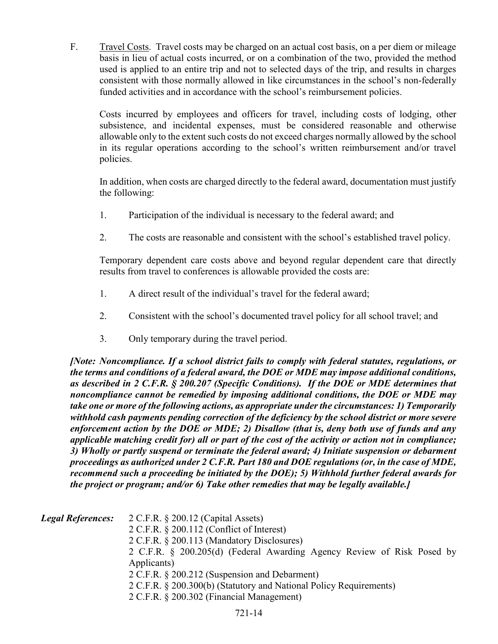F. Travel Costs. Travel costs may be charged on an actual cost basis, on a per diem or mileage basis in lieu of actual costs incurred, or on a combination of the two, provided the method used is applied to an entire trip and not to selected days of the trip, and results in charges consistent with those normally allowed in like circumstances in the school's non-federally funded activities and in accordance with the school's reimbursement policies.

Costs incurred by employees and officers for travel, including costs of lodging, other subsistence, and incidental expenses, must be considered reasonable and otherwise allowable only to the extent such costs do not exceed charges normally allowed by the school in its regular operations according to the school's written reimbursement and/or travel policies.

In addition, when costs are charged directly to the federal award, documentation must justify the following:

- 1. Participation of the individual is necessary to the federal award; and
- 2. The costs are reasonable and consistent with the school's established travel policy.

Temporary dependent care costs above and beyond regular dependent care that directly results from travel to conferences is allowable provided the costs are:

- 1. A direct result of the individual's travel for the federal award;
- 2. Consistent with the school's documented travel policy for all school travel; and
- 3. Only temporary during the travel period.

[Note: Noncompliance. If a school district fails to comply with federal statutes, regulations, or the terms and conditions of a federal award, the DOE or MDE may impose additional conditions, as described in 2 C.F.R. § 200.207 (Specific Conditions). If the DOE or MDE determines that noncompliance cannot be remedied by imposing additional conditions, the DOE or MDE may take one or more of the following actions, as appropriate under the circumstances: 1) Temporarily withhold cash payments pending correction of the deficiency by the school district or more severe enforcement action by the DOE or MDE; 2) Disallow (that is, deny both use of funds and any applicable matching credit for) all or part of the cost of the activity or action not in compliance; 3) Wholly or partly suspend or terminate the federal award; 4) Initiate suspension or debarment proceedings as authorized under 2 C.F.R. Part 180 and DOE regulations (or, in the case of MDE, recommend such a proceeding be initiated by the DOE); 5) Withhold further federal awards for the project or program; and/or 6) Take other remedies that may be legally available.]

| <b>Legal References:</b> | $2$ C.F.R. § 200.12 (Capital Assets)<br>$2$ C.F.R. § 200.112 (Conflict of Interest)<br>2 C.F.R. § 200.113 (Mandatory Disclosures)<br>2 C.F.R. § 200.205(d) (Federal Awarding Agency Review of Risk Posed by<br>Applicants)<br>2 C.F.R. § 200.212 (Suspension and Debarment)<br>2 C.F.R. § 200.300(b) (Statutory and National Policy Requirements) |
|--------------------------|---------------------------------------------------------------------------------------------------------------------------------------------------------------------------------------------------------------------------------------------------------------------------------------------------------------------------------------------------|
|                          | 2 C.F.R. § 200.302 (Financial Management)                                                                                                                                                                                                                                                                                                         |